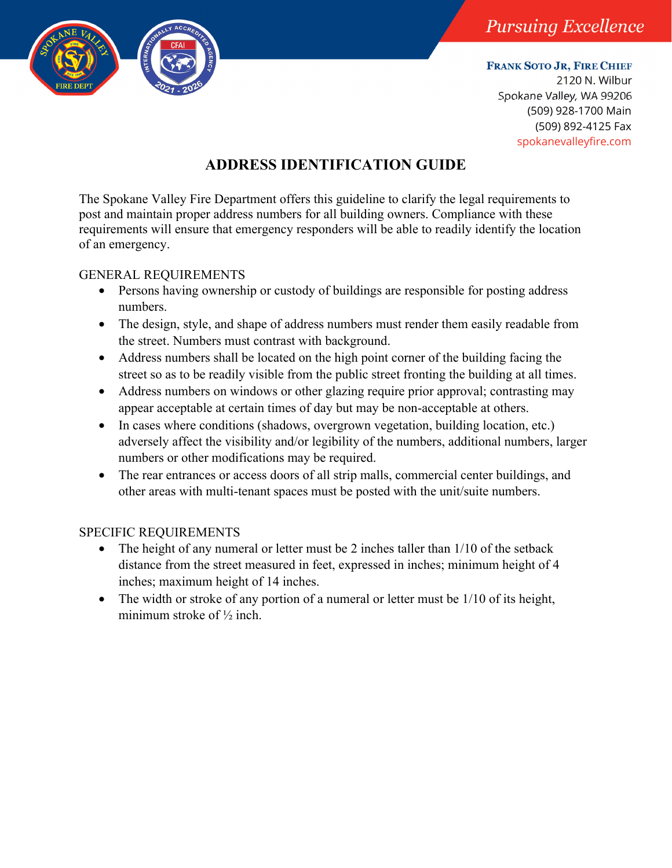

**FRANK SOTO JR, FIRE CHIEF**

2120 N. Wilbur Spokane Valley, WA 99206 (509) 928-1700 Main (509) 892-4125 Fax spokanevalleyfire.com

## **ADDRESS IDENTIFICATION GUIDE**

The Spokane Valley Fire Department offers this guideline to clarify the legal requirements to post and maintain proper address numbers for all building owners. Compliance with these requirements will ensure that emergency responders will be able to readily identify the location of an emergency.

## GENERAL REQUIREMENTS

- Persons having ownership or custody of buildings are responsible for posting address numbers.
- The design, style, and shape of address numbers must render them easily readable from the street. Numbers must contrast with background.
- Address numbers shall be located on the high point corner of the building facing the street so as to be readily visible from the public street fronting the building at all times.
- Address numbers on windows or other glazing require prior approval; contrasting may appear acceptable at certain times of day but may be non-acceptable at others.
- In cases where conditions (shadows, overgrown vegetation, building location, etc.) adversely affect the visibility and/or legibility of the numbers, additional numbers, larger numbers or other modifications may be required.
- The rear entrances or access doors of all strip malls, commercial center buildings, and other areas with multi-tenant spaces must be posted with the unit/suite numbers.

## SPECIFIC REQUIREMENTS

- The height of any numeral or letter must be 2 inches taller than 1/10 of the setback distance from the street measured in feet, expressed in inches; minimum height of 4 inches; maximum height of 14 inches.
- The width or stroke of any portion of a numeral or letter must be 1/10 of its height, minimum stroke of ½ inch.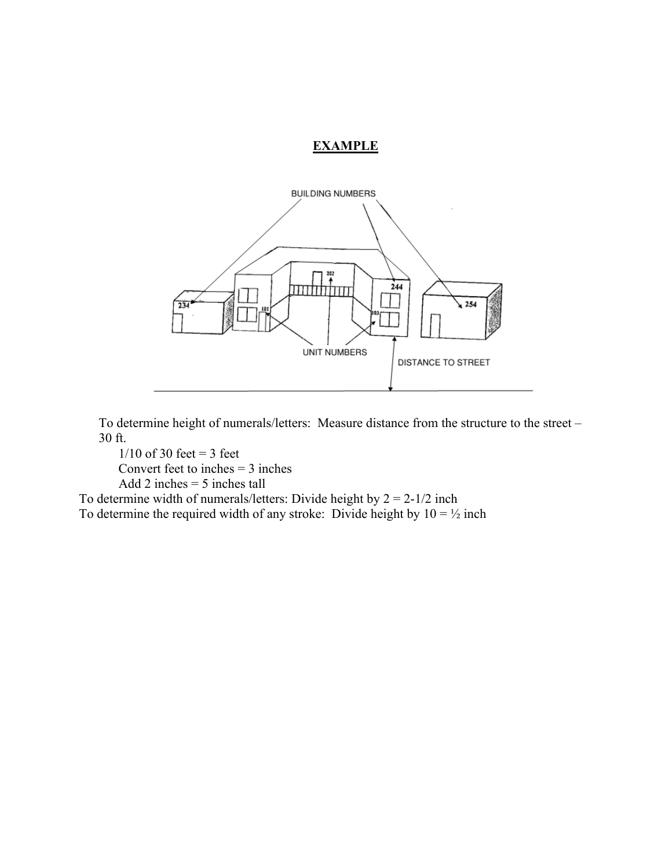## **EXAMPLE**



To determine height of numerals/letters: Measure distance from the structure to the street – 30 ft.

 $1/10$  of 30 feet = 3 feet Convert feet to inches  $=$  3 inches

Add 2 inches  $= 5$  inches tall

To determine width of numerals/letters: Divide height by  $2 = 2-1/2$  inch To determine the required width of any stroke: Divide height by  $10 = \frac{1}{2}$  inch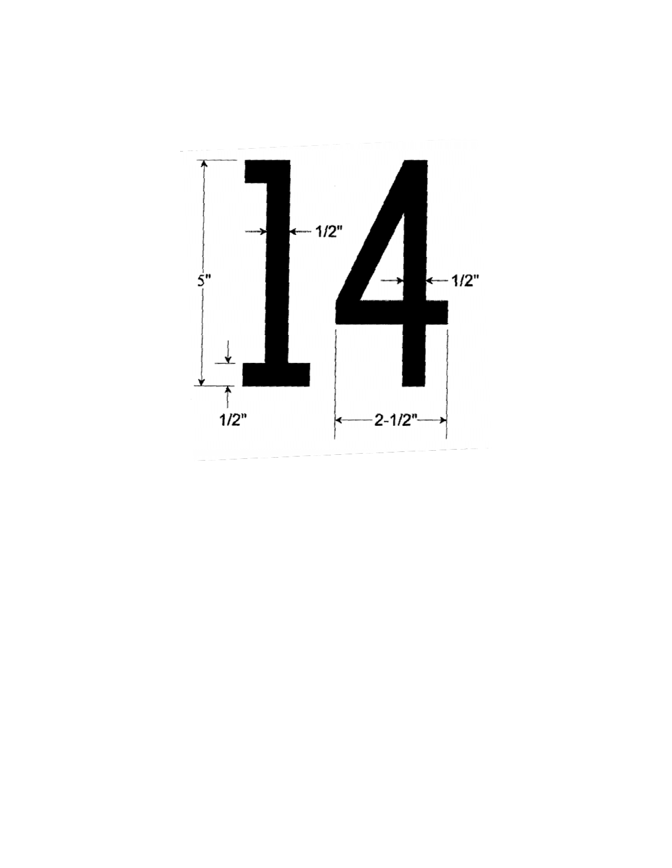